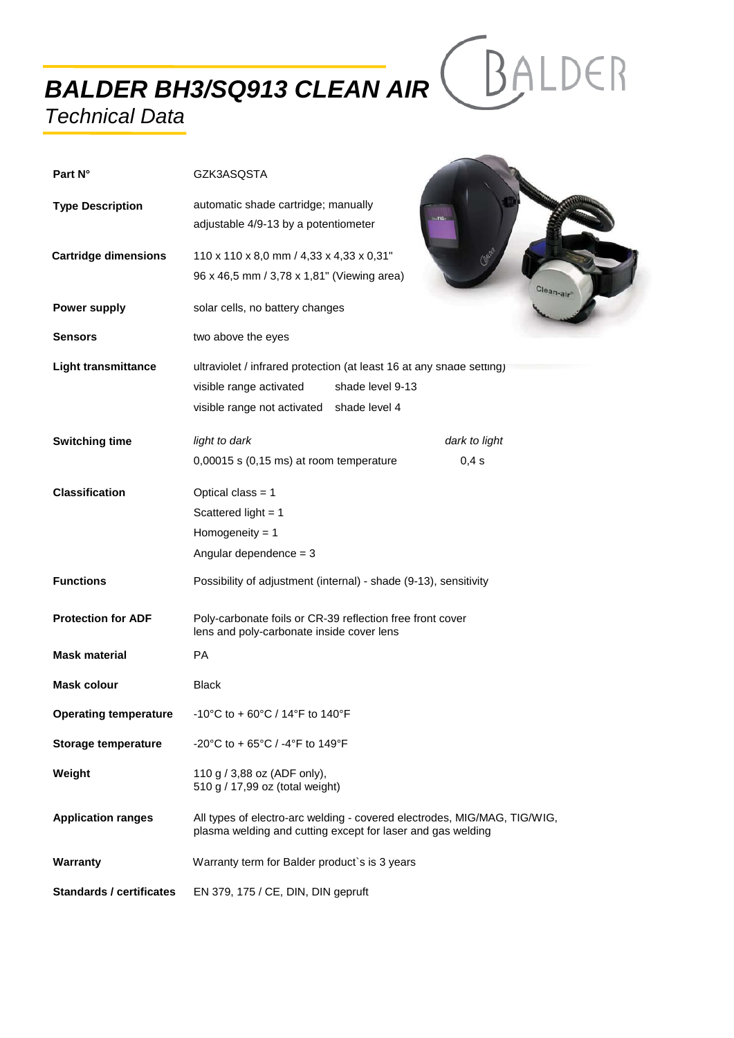*BALDER BH3/SQ913 CLEAN AIR*

## *Technical Data*

| Part N°                         | GZK3ASQSTA                                                                                                                                                          |  |  |
|---------------------------------|---------------------------------------------------------------------------------------------------------------------------------------------------------------------|--|--|
| <b>Type Description</b>         | automatic shade cartridge; manually<br>adjustable 4/9-13 by a potentiometer                                                                                         |  |  |
| <b>Cartridge dimensions</b>     | 110 x 110 x 8,0 mm / 4,33 x 4,33 x 0,31"                                                                                                                            |  |  |
|                                 | 96 x 46,5 mm / 3,78 x 1,81" (Viewing area)<br>Clean-air                                                                                                             |  |  |
| <b>Power supply</b>             | solar cells, no battery changes                                                                                                                                     |  |  |
| <b>Sensors</b>                  | two above the eyes                                                                                                                                                  |  |  |
| <b>Light transmittance</b>      | ultraviolet / infrared protection (at least 16 at any shade setting)<br>shade level 9-13<br>visible range activated<br>visible range not activated<br>shade level 4 |  |  |
| <b>Switching time</b>           | light to dark<br>dark to light                                                                                                                                      |  |  |
|                                 | 0,00015 s (0,15 ms) at room temperature<br>0,4s                                                                                                                     |  |  |
| <b>Classification</b>           | Optical class = $1$                                                                                                                                                 |  |  |
|                                 | Scattered light = $1$                                                                                                                                               |  |  |
|                                 | Homogeneity = $1$                                                                                                                                                   |  |  |
|                                 | Angular dependence = $3$                                                                                                                                            |  |  |
| <b>Functions</b>                | Possibility of adjustment (internal) - shade (9-13), sensitivity                                                                                                    |  |  |
| <b>Protection for ADF</b>       | Poly-carbonate foils or CR-39 reflection free front cover<br>lens and poly-carbonate inside cover lens                                                              |  |  |
| <b>Mask material</b>            | <b>PA</b>                                                                                                                                                           |  |  |
| <b>Mask colour</b>              | <b>Black</b>                                                                                                                                                        |  |  |
| <b>Operating temperature</b>    | -10°C to + 60°C / 14°F to 140°F                                                                                                                                     |  |  |
| <b>Storage temperature</b>      | -20°C to + 65°C / -4°F to 149°F                                                                                                                                     |  |  |
| Weight                          | 110 g / 3,88 oz (ADF only),<br>510 g / 17,99 oz (total weight)                                                                                                      |  |  |
| <b>Application ranges</b>       | All types of electro-arc welding - covered electrodes, MIG/MAG, TIG/WIG,<br>plasma welding and cutting except for laser and gas welding                             |  |  |
| Warranty                        | Warranty term for Balder product's is 3 years                                                                                                                       |  |  |
| <b>Standards / certificates</b> | EN 379, 175 / CE, DIN, DIN gepruft                                                                                                                                  |  |  |

BALDER